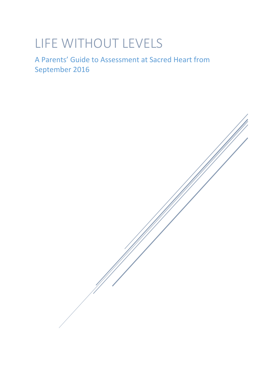# LIFE WITHOUT LEVELS

A Parents' Guide to Assessment at Sacred Heart from September 2016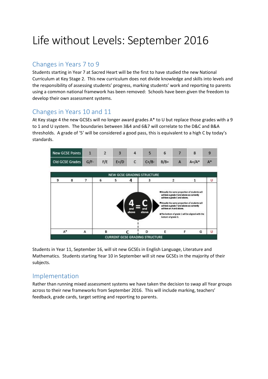## Life without Levels: September 2016

## Changes in Years 7 to 9

Students starting in Year 7 at Sacred Heart will be the first to have studied the new National Curriculum at Key Stage 2. This new curriculum does not divide knowledge and skills into levels and the responsibility of assessing students' progress, marking students' work and reporting to parents using a common national framework has been removed: Schools have been given the freedom to develop their own assessment systems.

## Changes in Years 10 and 11

At Key stage 4 the new GCSEs will no longer award grades A\* to U but replace those grades with a 9 to 1 and U system. The boundaries between 3&4 and 6&7 will correlate to the D&C and B&A thresholds. A grade of '5' will be considered a good pass, this is equivalent to a high C by today's standards.



Students in Year 11, September 16, will sit new GCSEs in English Language, Literature and Mathematics. Students starting Year 10 in September will sit new GCSEs in the majority of their subjects.

#### Implementation

Rather than running mixed assessment systems we have taken the decision to swap all Year groups across to their new frameworks from September 2016. This will include marking, teachers' feedback, grade cards, target setting and reporting to parents.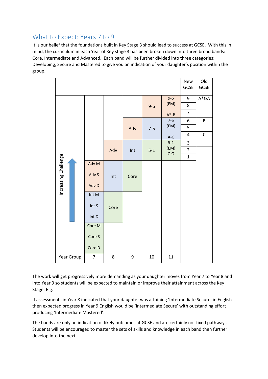## What to Expect: Years 7 to 9

It is our belief that the foundations built in Key Stage 3 should lead to success at GCSE. With this in mind, the curriculum in each Year of Key stage 3 has been broken down into three broad bands: Core, Intermediate and Advanced. Each band will be further divided into three categories: Developing, Secure and Mastered to give you an indication of your daughter's position within the group.

|                      |  |                |      |      |         |                        | New<br>GCSE                   | O <sub>Id</sub><br>GCSE |
|----------------------|--|----------------|------|------|---------|------------------------|-------------------------------|-------------------------|
|                      |  |                |      |      | $9 - 6$ | $9-6$<br>(EM)          | 9                             | $A^*RA$                 |
|                      |  |                |      |      |         |                        | 8                             |                         |
|                      |  |                |      |      |         | $A^* - B$              | $\overline{7}$                |                         |
|                      |  |                |      | Adv  | $7 - 5$ | $7-5$<br>(EM)          | 6                             | B                       |
|                      |  |                |      |      |         |                        | 5                             |                         |
|                      |  |                |      |      |         | $A-C$                  | 4                             | $\mathsf C$             |
|                      |  |                | Adv  | Int  | $5-1$   | $5-1$<br>(EM)<br>$C-G$ | 3                             |                         |
| Increasing Challenge |  |                |      |      |         |                        | $\overline{2}$<br>$\mathbf 1$ |                         |
|                      |  | Adv M          |      |      |         |                        |                               |                         |
|                      |  |                | Int  | Core |         |                        |                               |                         |
|                      |  | Adv S          |      |      |         |                        |                               |                         |
|                      |  | Adv D          |      |      |         |                        |                               |                         |
|                      |  | Int M          |      |      |         |                        |                               |                         |
|                      |  | Int S          | Core |      |         |                        |                               |                         |
|                      |  | Int D          |      |      |         |                        |                               |                         |
|                      |  | Core M         |      |      |         |                        |                               |                         |
|                      |  | Core S         |      |      |         |                        |                               |                         |
|                      |  | Core D         |      |      |         |                        |                               |                         |
| Year Group           |  | $\overline{7}$ | 8    | 9    | 10      | 11                     |                               |                         |

The work will get progressively more demanding as your daughter moves from Year 7 to Year 8 and into Year 9 so students will be expected to maintain or improve their attainment across the Key Stage. E.g.

If assessments in Year 8 indicated that your daughter was attaining 'Intermediate Secure' in English then expected progress in Year 9 English would be 'Intermediate Secure' with outstanding effort producing 'Intermediate Mastered'.

The bands are only an indication of likely outcomes at GCSE and are certainly not fixed pathways. Students will be encouraged to master the sets of skills and knowledge in each band then further develop into the next.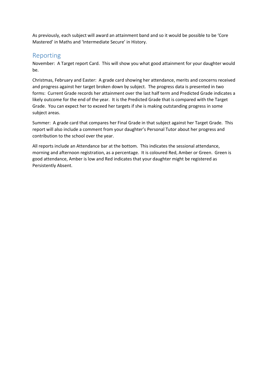As previously, each subject will award an attainment band and so it would be possible to be 'Core Mastered' in Maths and 'Intermediate Secure' in History.

#### Reporting

November: A Target report Card. This will show you what good attainment for your daughter would be.

Christmas, February and Easter: A grade card showing her attendance, merits and concerns received and progress against her target broken down by subject. The progress data is presented in two forms: Current Grade records her attainment over the last half term and Predicted Grade indicates a likely outcome for the end of the year. It is the Predicted Grade that is compared with the Target Grade. You can expect her to exceed her targets if she is making outstanding progress in some subject areas.

Summer: A grade card that compares her Final Grade in that subject against her Target Grade. This report will also include a comment from your daughter's Personal Tutor about her progress and contribution to the school over the year.

All reports include an Attendance bar at the bottom. This indicates the sessional attendance, morning and afternoon registration, as a percentage. It is coloured Red, Amber or Green. Green is good attendance, Amber is low and Red indicates that your daughter might be registered as Persistently Absent.